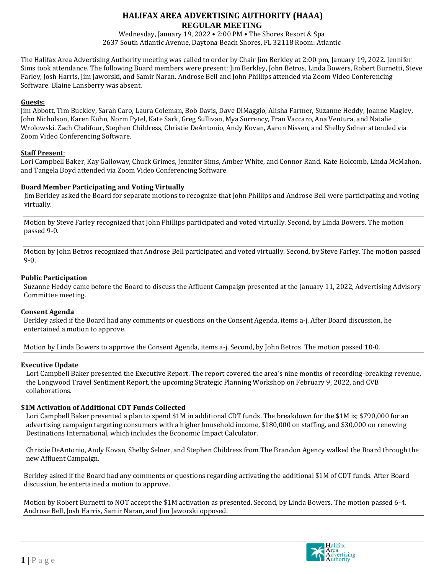Wednesday, January 19, 2022 • 2:00 PM • The Shores Resort & Spa 2637 South Atlantic Avenue, Daytona Beach Shores, FL 32118 Room: Atlantic

The Halifax Area Advertising Authority meeting was called to order by Chair Jim Berkley at 2:00 pm, January 19, 2022. Jennifer Sims took attendance. The following Board members were present: Jim Berkley, John Betros, Linda Bowers, Robert Burnetti, Steve Farley, Josh Harris, Jim Jaworski, and Samir Naran. Androse Bell and John Phillips attended via Zoom Video Conferencing Software. Blaine Lansberry was absent.

## **Guests:**

Jim Abbott, Tim Buckley, Sarah Caro, Laura Coleman, Bob Davis, Dave DiMaggio, Alisha Farmer, Suzanne Heddy, Joanne Magley, John Nicholson, Karen Kuhn, Norm Pytel, Kate Sark, Greg Sullivan, Mya Surrency, Fran Vaccaro, Ana Ventura, and Natalie Wrolowski. Zach Chalifour, Stephen Childress, Christie DeAntonio, Andy Kovan, Aaron Nissen, and Shelby Selner attended via Zoom Video Conferencing Software.

## **Staff Present**:

Lori Campbell Baker, Kay Galloway, Chuck Grimes, Jennifer Sims, Amber White, and Connor Rand. Kate Holcomb, Linda McMahon, and Tangela Boyd attended via Zoom Video Conferencing Software.

# **Board Member Participating and Voting Virtually**

Jim Berkley asked the Board for separate motions to recognize that John Phillips and Androse Bell were participating and voting virtually.

Motion by Steve Farley recognized that John Phillips participated and voted virtually. Second, by Linda Bowers. The motion passed 9-0.

Motion by John Betros recognized that Androse Bell participated and voted virtually. Second, by Steve Farley. The motion passed 9-0.

## **Public Participation**

Suzanne Heddy came before the Board to discuss the Affluent Campaign presented at the January 11, 2022, Advertising Advisory Committee meeting.

#### **Consent Agenda**

Berkley asked if the Board had any comments or questions on the Consent Agenda, items a-j. After Board discussion, he entertained a motion to approve.

Motion by Linda Bowers to approve the Consent Agenda, items a-j. Second, by John Betros. The motion passed 10-0.

# **Executive Update**

Lori Campbell Baker presented the Executive Report. The report covered the area's nine months of recording-breaking revenue, the Longwood Travel Sentiment Report, the upcoming Strategic Planning Workshop on February 9, 2022, and CVB collaborations.

# **\$1M Activation of Additional CDT Funds Collected**

Lori Campbell Baker presented a plan to spend \$1M in additional CDT funds. The breakdown for the \$1M is; \$790,000 for an advertising campaign targeting consumers with a higher household income, \$180,000 on staffing, and \$30,000 on renewing Destinations International, which includes the Economic Impact Calculator.

Christie DeAntonio, Andy Kovan, Shelby Selner, and Stephen Childress from The Brandon Agency walked the Board through the new Affluent Campaign.

Berkley asked if the Board had any comments or questions regarding activating the additional \$1M of CDT funds. After Board discussion, he entertained a motion to approve.

Motion by Robert Burnetti to NOT accept the \$1M activation as presented. Second, by Linda Bowers. The motion passed 6-4. Androse Bell, Josh Harris, Samir Naran, and Jim Jaworski opposed.

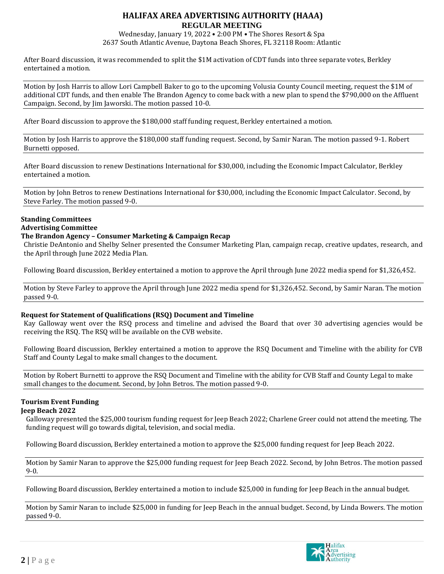Wednesday, January 19, 2022 • 2:00 PM • The Shores Resort & Spa 2637 South Atlantic Avenue, Daytona Beach Shores, FL 32118 Room: Atlantic

After Board discussion, it was recommended to split the \$1M activation of CDT funds into three separate votes, Berkley entertained a motion.

Motion by Josh Harris to allow Lori Campbell Baker to go to the upcoming Volusia County Council meeting, request the \$1M of additional CDT funds, and then enable The Brandon Agency to come back with a new plan to spend the \$790,000 on the Affluent Campaign. Second, by Jim Jaworski. The motion passed 10-0.

After Board discussion to approve the \$180,000 staff funding request, Berkley entertained a motion.

Motion by Josh Harris to approve the \$180,000 staff funding request. Second, by Samir Naran. The motion passed 9-1. Robert Burnetti opposed.

After Board discussion to renew Destinations International for \$30,000, including the Economic Impact Calculator, Berkley entertained a motion.

Motion by John Betros to renew Destinations International for \$30,000, including the Economic Impact Calculator. Second, by Steve Farley. The motion passed 9-0.

# **Standing Committees**

# **Advertising Committee**

# **The Brandon Agency – Consumer Marketing & Campaign Recap**

Christie DeAntonio and Shelby Selner presented the Consumer Marketing Plan, campaign recap, creative updates, research, and the April through June 2022 Media Plan.

Following Board discussion, Berkley entertained a motion to approve the April through June 2022 media spend for \$1,326,452.

Motion by Steve Farley to approve the April through June 2022 media spend for \$1,326,452. Second, by Samir Naran. The motion passed 9-0.

#### **Request for Statement of Qualifications (RSQ) Document and Timeline**

Kay Galloway went over the RSQ process and timeline and advised the Board that over 30 advertising agencies would be receiving the RSQ. The RSQ will be available on the CVB website.

Following Board discussion, Berkley entertained a motion to approve the RSQ Document and Timeline with the ability for CVB Staff and County Legal to make small changes to the document.

Motion by Robert Burnetti to approve the RSQ Document and Timeline with the ability for CVB Staff and County Legal to make small changes to the document. Second, by John Betros. The motion passed 9-0.

# **Tourism Event Funding**

#### **Jeep Beach 2022**

Galloway presented the \$25,000 tourism funding request for Jeep Beach 2022; Charlene Greer could not attend the meeting. The funding request will go towards digital, television, and social media.

Following Board discussion, Berkley entertained a motion to approve the \$25,000 funding request for Jeep Beach 2022.

Motion by Samir Naran to approve the \$25,000 funding request for Jeep Beach 2022. Second, by John Betros. The motion passed 9-0.

Following Board discussion, Berkley entertained a motion to include \$25,000 in funding for Jeep Beach in the annual budget.

Motion by Samir Naran to include \$25,000 in funding for Jeep Beach in the annual budget. Second, by Linda Bowers. The motion passed 9-0.

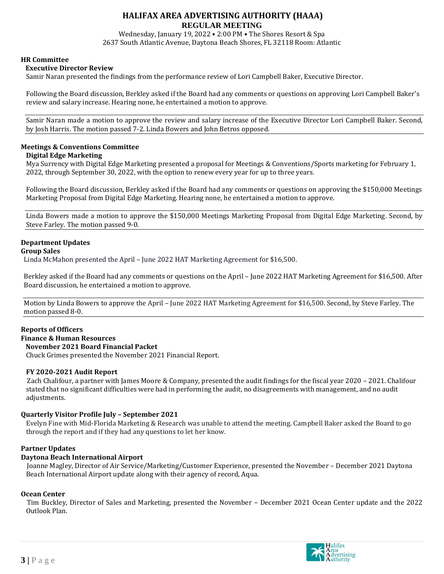Wednesday, January 19, 2022 • 2:00 PM • The Shores Resort & Spa 2637 South Atlantic Avenue, Daytona Beach Shores, FL 32118 Room: Atlantic

## **HR Committee**

## **Executive Director Review**

Samir Naran presented the findings from the performance review of Lori Campbell Baker, Executive Director.

Following the Board discussion, Berkley asked if the Board had any comments or questions on approving Lori Campbell Baker's review and salary increase. Hearing none, he entertained a motion to approve.

Samir Naran made a motion to approve the review and salary increase of the Executive Director Lori Campbell Baker. Second, by Josh Harris. The motion passed 7-2. Linda Bowers and John Betros opposed.

# **Meetings & Conventions Committee**

## **Digital Edge Marketing**

Mya Surrency with Digital Edge Marketing presented a proposal for Meetings & Conventions/Sports marketing for February 1, 2022, through September 30, 2022, with the option to renew every year for up to three years.

Following the Board discussion, Berkley asked if the Board had any comments or questions on approving the \$150,000 Meetings Marketing Proposal from Digital Edge Marketing. Hearing none, he entertained a motion to approve.

Linda Bowers made a motion to approve the \$150,000 Meetings Marketing Proposal from Digital Edge Marketing. Second, by Steve Farley. The motion passed 9-0.

# **Department Updates**

#### **Group Sales**

Linda McMahon presented the April – June 2022 HAT Marketing Agreement for \$16,500.

Berkley asked if the Board had any comments or questions on the April – June 2022 HAT Marketing Agreement for \$16,500. After Board discussion, he entertained a motion to approve.

Motion by Linda Bowers to approve the April – June 2022 HAT Marketing Agreement for \$16,500. Second, by Steve Farley. The motion passed 8-0.

#### **Reports of Officers**

#### **Finance & Human Resources**

 **November 2021 Board Financial Packet**

Chuck Grimes presented the November 2021 Financial Report.

#### **FY 2020-2021 Audit Report**

Zach Chalifour, a partner with James Moore & Company, presented the audit findings for the fiscal year 2020 – 2021. Chalifour stated that no significant difficulties were had in performing the audit, no disagreements with management, and no audit adjustments.

#### **Quarterly Visitor Profile July – September 2021**

Evelyn Fine with Mid-Florida Marketing & Research was unable to attend the meeting. Campbell Baker asked the Board to go through the report and if they had any questions to let her know.

#### **Partner Updates**

#### **Daytona Beach International Airport**

Joanne Magley, Director of Air Service/Marketing/Customer Experience, presented the November – December 2021 Daytona Beach International Airport update along with their agency of record, Aqua.

#### **Ocean Center**

Tim Buckley, Director of Sales and Marketing, presented the November – December 2021 Ocean Center update and the 2022 Outlook Plan.